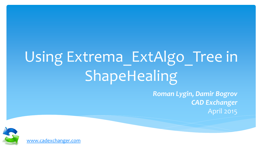# Using Extrema ExtAlgo\_Tree in ShapeHealing

*Roman Lygin, Damir Bogrov CAD Exchanger* April 2015



[www.cadexchanger.com](http://www.cadexchanger.com/)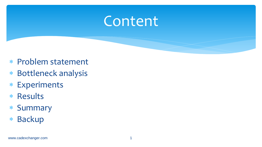#### Content

- Problem statement
- Bottleneck analysis
- Experiments
- \* Results
- Summary
- \* Backup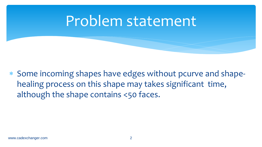#### Problem statement

 Some incoming shapes have edges without pcurve and shapehealing process on this shape may takes significant time, although the shape contains <50 faces.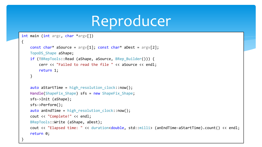#### Reproducer

```
int main (int argc, char *argv[])
```
 $\mathfrak{t}$ 

}

```
const char* aSource = \text{arg}[(1)]; const char* aDest = \text{arg}[(2)];
 TopoDS_Shape aShape;
if (!BRepTools::Read (aShape, aSource, BRep Builder())) {
     cerr << "Failed to read the file " << aSource << endl;
     return 1;
 }
```

```
auto aStartTime = high resolution clock::now();
Handle(ShapeFix Shape) sfs = new ShapeFix Shape;
 sfs->Init (aShape); 
 sfs->Perform();
auto anEndTime = high resolution clock::now();
 cout << "Complete!" << endl;
 BRepTools::Write (aShape, aDest);
 cout << "Elapsed time: " << duration<double, std::milli> (anEndTime-aStartTime).count() << endl;
 return 0;
```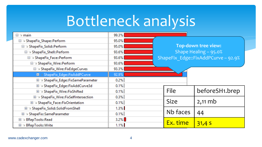| $\boxdot \geq$ main                    | 99.3%   |                            |                                     |                |
|----------------------------------------|---------|----------------------------|-------------------------------------|----------------|
| □ > ShapeFix_Shape::Perform            | 95.0%   |                            |                                     |                |
| □ > ShapeFix_Solid::Perform            | 95.0%   | <b>Top-down tree view:</b> |                                     |                |
| □ > ShapeFix_Shell::Perform            | 93.6%   |                            | Shape Healing - 95.0%               |                |
| □ > ShapeFix_Face::Perform             | 93.6%   |                            | ShapeFix Edge::FixAddPCurve - 92.9% |                |
| □ > ShapeFix_Wire::Perform             | 93.6%   |                            |                                     |                |
| □ > ShapeFix_Wire::FixEdgeCurves       | 93.3%   |                            |                                     |                |
| ■ > ShapeFix_Edge::FixAddPCurve        | 92.9%   |                            |                                     |                |
| El > ShapeFix_Edge::FixSameParameter   | 0.2%    |                            |                                     |                |
| E > ShapeFix_Edge::FixAddCurve3d       | 0.1%    |                            |                                     |                |
| E > ShapeFix_Wire::FixShifted          | 0.1%    |                            | File                                | beforeSH1.brep |
| E > ShapeFix_Wire::FixSelfIntersection | 0.3%    |                            |                                     |                |
| E ≥ ShapeFix_Face::FixOrientation      | 0.1%    |                            | <b>Size</b>                         | $2,11$ mb      |
| E > ShapeFix_Solid::SolidFromShell     | 1.3%    |                            |                                     |                |
| E > ShapeFix::SameParameter            | 0.1%    |                            | Nb faces                            | 44             |
| BRepTools::Read<br>国习                  | $3.2\%$ |                            |                                     |                |
| E ≥ BRepTools::Write                   | 1.1%    |                            | Ex. time                            | 31,45          |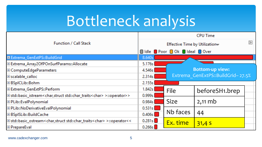|                                                                                                  |                               | <b>CPU Time</b>                  |                                   |  |  |
|--------------------------------------------------------------------------------------------------|-------------------------------|----------------------------------|-----------------------------------|--|--|
| <b>Function / Call Stack</b>                                                                     | Effective Time by Utilization |                                  |                                   |  |  |
|                                                                                                  |                               | Idle Poor Ok Ideal Over          |                                   |  |  |
| E Extrema_GenExtPS::BuildGrid                                                                    | 8.640s                        |                                  |                                   |  |  |
| El Extrema_Array2OfPOnSurfParams::Allocate                                                       | 5.176s                        |                                  |                                   |  |  |
| E ComputeEdgeParameters                                                                          |                               | <b>Bottom-up view:</b><br>4.546s |                                   |  |  |
| Escalable_calloc                                                                                 | 2.314s                        |                                  | Extrema GenExtPS::BuildGrid-27.5% |  |  |
| ⊞ BSpICLib::Bohm                                                                                 | 2.155s                        |                                  |                                   |  |  |
| El Extrema_GenExtPS::Perform                                                                     | 1.842s                        | File                             | beforeSH1.brep                    |  |  |
| Elstd::basic_istream <char,struct std::char_traits<char=""> &gt;::operator&gt;&gt;</char,struct> | 0.999s                        |                                  |                                   |  |  |
| E PLib::EvalPolynomial                                                                           | 0.984s                        | <b>Size</b>                      | $2,11$ mb                         |  |  |
| E PLib::NoDerivativeEvalPolynomial                                                               | 0.531s                        |                                  |                                   |  |  |
| ⊞ BSpISLib::BuildCache                                                                           | 0.406s                        | Nb faces                         | 44                                |  |  |
| Elstd::basic_ostream <char,struct std::char_traits<char=""> &gt;::operator&lt;&lt;</char,struct> | 0.281s                        | Ex. time                         | 31,45                             |  |  |
| <b>⊞</b> PrepareEval                                                                             | 0.266s                        |                                  |                                   |  |  |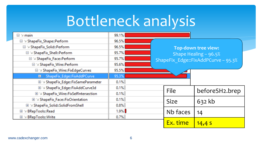| $\boxdot \geq$ main                    | 99.1%                          |                                     |                |  |
|----------------------------------------|--------------------------------|-------------------------------------|----------------|--|
| □ > ShapeFix_Shape::Perform            | 96.5%                          |                                     |                |  |
| □ > ShapeFix_Solid::Perform            | 96.5%                          | <b>Top-down tree view:</b>          |                |  |
| □ > ShapeFix_Shell::Perform            | 95.7%<br>Shape Healing - 96.5% |                                     |                |  |
| □ > ShapeFix_Face::Perform             | 95.7%                          | ShapeFix Edge::FixAddPCurve - 95.3% |                |  |
| $\Box$ > ShapeFix_Wire::Perform        | 95.6%                          |                                     |                |  |
| □ > ShapeFix_Wire::FixEdgeCurves       | 95.5%                          |                                     |                |  |
| E > ShapeFix_Edge::FixAddPCurve        | 95.3%                          |                                     |                |  |
| E > ShapeFix_Edge::FixSameParameter    | 0.1%                           |                                     |                |  |
| E > ShapeFix_Edge::FixAddCurve3d       | 0.1%                           | File                                | beforeSH2.brep |  |
| E ≥ ShapeFix_Wire::FixSelfIntersection | 0.1%                           |                                     |                |  |
| E > ShapeFix_Face::FixOrientation      | 0.1%                           | <b>Size</b>                         | 632kb          |  |
| E > ShapeFix_Solid::SolidFromShell     | 0.8%                           |                                     |                |  |
| E ≥ BRepTools::Read                    | $1.9\%$                        | Nb faces                            | 14             |  |
| E ≥ BRepTools::Write                   | 0.7%                           |                                     |                |  |
|                                        |                                | Ex. time                            | 14,4S          |  |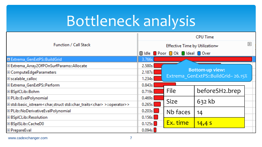| <b>Function / Call Stack</b>                                                                     |                                  | <b>CPU Time</b>                    |                |  |  |
|--------------------------------------------------------------------------------------------------|----------------------------------|------------------------------------|----------------|--|--|
|                                                                                                  |                                  | Effective Time by Utilization      |                |  |  |
|                                                                                                  |                                  | Idle Poor Ok Ideal Over            |                |  |  |
| E Extrema_GenExtPS::BuildGrid                                                                    | 3.766s                           |                                    |                |  |  |
| Extrema_Array2OfPOnSurfParams::Allocate                                                          | 2.580s                           |                                    |                |  |  |
| E ComputeEdgeParameters                                                                          | <b>Bottom-up view:</b><br>2.187s |                                    |                |  |  |
| Escalable_calloc                                                                                 | 1.234s                           | Extrema GenExtPS::BuildGrid-26.15% |                |  |  |
| El Extrema_GenExtPS::Perform                                                                     | 0.843s                           |                                    |                |  |  |
| ⊞ BSpICLib::Bohm                                                                                 | 0.719 <sub>s</sub>               | File                               | beforeSH2.brep |  |  |
| E PLib::EvalPolynomial                                                                           | 0.469s                           |                                    |                |  |  |
| Elstd::basic_istream <char,struct std::char_traits<char=""> &gt;::operator&gt;&gt;</char,struct> | 0.265s                           | <b>Size</b>                        | 632 kb         |  |  |
| E PLib::NoDerivativeEvalPolynomial                                                               | 0.203s                           | Nb faces                           | 14             |  |  |
| <b>⊞BSpICLib::Resolution</b>                                                                     | 0.156s                           |                                    |                |  |  |
| ⊞ BSpISLib::CacheD0                                                                              | 0.125s                           | Ex. time                           | 14,45          |  |  |
| <b>⊞</b> PrepareEval                                                                             | 0.094s                           |                                    |                |  |  |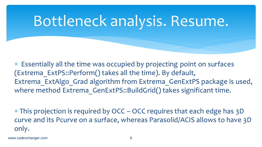### Bottleneck analysis. Resume.

 Essentially all the time was occupied by projecting point on surfaces (Extrema\_ExtPS::Perform() takes all the time). By default, Extrema ExtAlgo Grad algorithm from Extrema GenExtPS package is used, where method Extrema GenExtPS::BuildGrid() takes significant time.

 This projection is required by OCC – OCC requires that each edge has 3D curve and its Pcurve on a surface, whereas Parasolid/ACIS allows to have 3D only.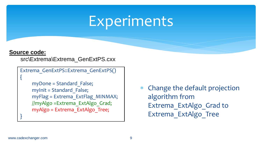#### Experiments

#### **Source code:**

{

}<br>}

src\Extrema\Extrema\_GenExtPS.cxx

```
Extrema_GenExtPS::Extrema_GenExtPS()
```

```
 myDone = Standard_False;
myInit = Standard False;
 myFlag = Extrema_ExtFlag_MINMAX;
 //myAlgo =Extrema_ExtAlgo_Grad;
 myAlgo = Extrema_ExtAlgo_Tree;
```
 Change the default projection algorithm from Extrema\_ExtAlgo\_Grad to Extrema\_ExtAlgo\_Tree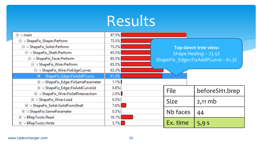| $\boxdot \geq \textsf{main}$                  | 97.5%                           |                                              |                |  |
|-----------------------------------------------|---------------------------------|----------------------------------------------|----------------|--|
| □ > ShapeFix_Shape::Perform                   | 73.5%                           |                                              |                |  |
| □ > ShapeFix_Solid::Perform                   | 73.2%                           | <b>Top-down tree view:</b>                   |                |  |
| □ > ShapeFix_Shell::Perform                   | 65.5%<br>Shape Healing $-73.5%$ |                                              |                |  |
| □ > ShapeFix_Face::Perform                    | 65.5%                           | ShapeFix Edge::FixAddPCurve - 61.3%<br>65.3% |                |  |
| □ > ShapeFix_Wire::Perform                    |                                 |                                              |                |  |
| □ > ShapeFix_Wire::FixEdgeCurves              | 63.3%                           |                                              |                |  |
| <b>■ &gt;&gt; ShapeFix_Edge::FixAddPCurve</b> | 61.3%                           |                                              |                |  |
| E > ShapeFix_Edge::FixSameParameter           | 1.1%                            |                                              |                |  |
| E > ShapeFix_Edge::FixAddCurve3d              | 0.8%                            | File                                         | beforeSH1.brep |  |
| E > ShapeFix_Wire::FixSelfIntersection        | 2.0%                            |                                              |                |  |
| E > ShapeFix_Wire::Load                       | 0.3%                            | <b>Size</b>                                  | $2,11$ mb      |  |
| E > ShapeFix_Solid::SolidFromShell            | $7.6\%$                         |                                              |                |  |
| E > ShapeFix::SameParameter                   | 0.3%                            | Nb faces                                     | 44             |  |
| E ≥ BRepTools::Read                           | 18.1%                           |                                              |                |  |
| E ≥ BRepTools::Write                          | $5.7\%$                         | Ex. time                                     | 5,9s           |  |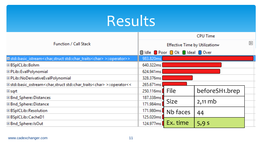| <b>Function / Call Stack</b>                                                                                        |           |                               | <b>CPU Time</b> |       |
|---------------------------------------------------------------------------------------------------------------------|-----------|-------------------------------|-----------------|-------|
|                                                                                                                     |           | Effective Time by Utilization |                 | $\gg$ |
|                                                                                                                     |           | dldle Poor Ok deal Over       |                 |       |
| Elstd::basic_istream <char,struct std::char_traits<char=""> &gt;::operator&gt;&gt;</char,struct>                    | 983.820ms |                               |                 |       |
| ⊞ BSpICLib::Bohm                                                                                                    | 640.322ms |                               |                 |       |
| EPLib::EvalPolynomial                                                                                               | 624.941ms |                               |                 |       |
| E PLib::NoDerivativeEvalPolynomial                                                                                  | 328.376ms |                               |                 |       |
| Elstd::basic_ostream <char,structistd::char_traits<char> &gt;::operator&lt;&lt;</char,structistd::char_traits<char> | 265.671ms |                               |                 |       |
| ⊞sqrt                                                                                                               | 250.116ms | File                          | beforeSH1.brep  |       |
| ⊞ Bnd_Sphere::Distances                                                                                             | 187.338ms |                               |                 |       |
| ⊞ Bnd_Sphere::Distance                                                                                              | 171.984ms | <b>Size</b>                   | $2,11$ mb       |       |
| ⊞ BSpICLib::Resolution                                                                                              | 171.980ms | Nb faces                      | 44              |       |
| ⊞BSpICLib::CacheD1                                                                                                  | 125.020ms |                               |                 |       |
| ⊞ Bnd_Sphere::IsOut                                                                                                 | 124.977ms | Ex. time                      | 5,9s            |       |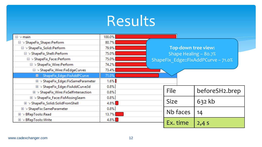| $\boxdot \geq$ main                    | 100.0%  |                                     |                |
|----------------------------------------|---------|-------------------------------------|----------------|
| □ > ShapeFix_Shape::Perform            | 80.7%   |                                     |                |
| $\Box$ > ShapeFix_Solid::Perform       | 79.9%   | <b>Top-down tree view:</b>          |                |
| □ > ShapeFix_Shell::Perform            | 75.0%   | Shape Healing - 80.7%               |                |
| □ > ShapeFix_Face::Perform             | 75.0%   | ShapeFix_Edge::FixAddPCurve - 71.0% |                |
| □ > ShapeFix_Wire::Perform             | 74.2%   |                                     |                |
| □ > ShapeFix_Wire::FixEdgeCurves       | 73.4%   |                                     |                |
| El >> ShapeFix_Edge::FixAddPCurve      | 71.0%   |                                     |                |
| E > ShapeFix_Edge::FixSameParameter    | $1.6\%$ |                                     |                |
| E > ShapeFix_Edge::FixAddCurve3d       | 0.8%    |                                     |                |
| E > ShapeFix_Wire::FixSelfIntersection | 0.8%    | File                                | beforeSH2.brep |
| E ≥ ShapeFix_Face::FixMissingSeam      | 0.8%    |                                     |                |
| E > ShapeFix_Solid::SolidFromShell     | $4.8\%$ | <b>Size</b>                         | 632 kb         |
| E ≥ ShapeFix::SameParameter            | 0.8%    |                                     |                |
| $\vee$ BRepTools::Read<br>$+$          | 13.7%   | Nb faces                            | 14             |
| E ≥ BRepTools::Write                   | $4.8\%$ |                                     |                |
|                                        |         | Ex. time                            | $2,4$ S        |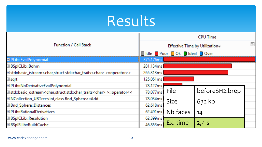| <b>Function / Call Stack</b>                                                                     |           | <b>CPU Time</b>               |                |  |
|--------------------------------------------------------------------------------------------------|-----------|-------------------------------|----------------|--|
|                                                                                                  |           | Effective Time by Utilization |                |  |
|                                                                                                  |           | didle Poor O Ok deal O Over   |                |  |
| <b>El PLib::EvalPolynomial</b>                                                                   | 375.176ms |                               |                |  |
| ⊞BSpICLib::Bohm                                                                                  | 281.134ms |                               |                |  |
| Elstd::basic_istream <char,struct std::char_traits<char=""> &gt;::operator&gt;&gt;</char,struct> | 265.313ms |                               |                |  |
| ⊞sqrt                                                                                            | 125.051ms |                               |                |  |
| El PLib::NoDerivativeEvalPolynomial                                                              | 78.127ms  |                               |                |  |
| Elstd::basic_ostream <char,struct std::char_traits<char=""> &gt;::operator&lt;&lt;</char,struct> | 78.077ms  | File                          | beforeSH2.brep |  |
| E NCollection_UBTree <int, bnd_sphere="" class="">::Add</int,>                                   | 78.034ms  | <b>Size</b>                   | 632kb          |  |
| <b>EBnd_Sphere::Distances</b>                                                                    | 62.618ms  |                               |                |  |
| E PLib:: Rational Derivatives                                                                    | 62.491ms  | Nb faces                      | 14             |  |
| <b>⊞BSpICLib::Resolution</b>                                                                     | 62.399ms  |                               |                |  |
| EBSpISLib::BuildCache                                                                            | 46.853ms  | Ex. time                      | $2,4$ S        |  |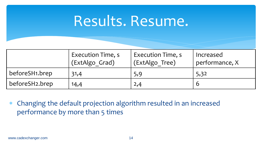#### Results. Resume.

|                | <b>Execution Time, s</b><br>(ExtAlgo Grad) | Execution Time, s<br>(ExtAlgo Tree) | Increased<br>performance, X |
|----------------|--------------------------------------------|-------------------------------------|-----------------------------|
| beforeSH1.brep | 31,4                                       | 5,9                                 | 5,32                        |
| beforeSH2.brep | 14,4                                       | 2,4                                 |                             |

 Changing the default projection algorithm resulted in an increased performance by more than 5 times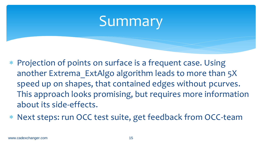#### Summary

- \* Projection of points on surface is a frequent case. Using another Extrema ExtAlgo algorithm leads to more than 5X speed up on shapes, that contained edges without pcurves. This approach looks promising, but requires more information about its side-effects.
- Next steps: run OCC test suite, get feedback from OCC-team